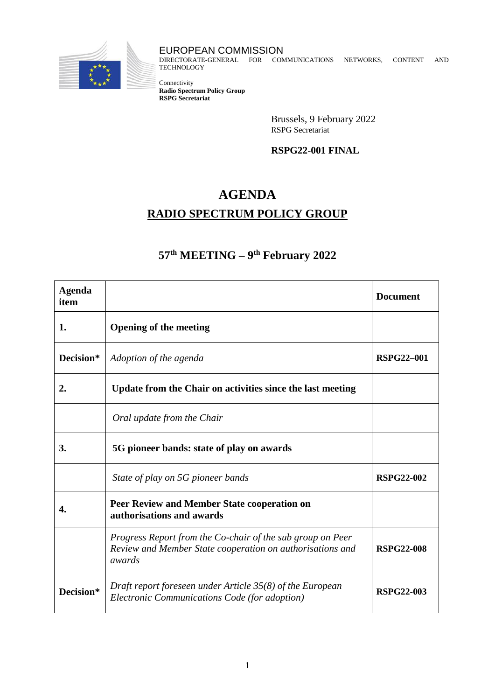

EUROPEAN COMMISSION DIRECTORATE-GENERAL FOR COMMUNICATIONS NETWORKS, CONTENT AND **TECHNOLOGY** 

Connectivity **Radio Spectrum Policy Group RSPG Secretariat**

> Brussels, 9 February 2022 RSPG Secretariat

## **RSPG22-001 FINAL**

## **AGENDA**

## **RADIO SPECTRUM POLICY GROUP**

## **57th MEETING – 9 th February 2022**

| <b>Agenda</b><br>item |                                                                                                                                   | <b>Document</b>   |
|-----------------------|-----------------------------------------------------------------------------------------------------------------------------------|-------------------|
| 1.                    | <b>Opening of the meeting</b>                                                                                                     |                   |
| Decision*             | Adoption of the agenda                                                                                                            | <b>RSPG22-001</b> |
| 2.                    | Update from the Chair on activities since the last meeting                                                                        |                   |
|                       | Oral update from the Chair                                                                                                        |                   |
| 3.                    | 5G pioneer bands: state of play on awards                                                                                         |                   |
|                       | State of play on 5G pioneer bands                                                                                                 | <b>RSPG22-002</b> |
| 4.                    | Peer Review and Member State cooperation on<br>authorisations and awards                                                          |                   |
|                       | Progress Report from the Co-chair of the sub group on Peer<br>Review and Member State cooperation on authorisations and<br>awards | <b>RSPG22-008</b> |
| Decision*             | Draft report foreseen under Article 35(8) of the European<br>Electronic Communications Code (for adoption)                        | <b>RSPG22-003</b> |